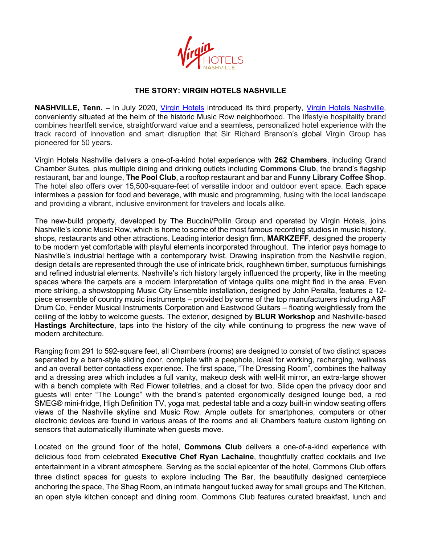

## **THE STORY: VIRGIN HOTELS NASHVILLE**

**NASHVILLE, Tenn. –** In July 2020, Virgin Hotels introduced its third property, Virgin Hotels Nashville, conveniently situated at the helm of the historic Music Row neighborhood. The lifestyle hospitality brand combines heartfelt service, straightforward value and a seamless, personalized hotel experience with the track record of innovation and smart disruption that Sir Richard Branson's global Virgin Group has pioneered for 50 years.

Virgin Hotels Nashville delivers a one-of-a-kind hotel experience with **262 Chambers**, including Grand Chamber Suites, plus multiple dining and drinking outlets including **Commons Club**, the brand's flagship restaurant, bar and lounge, **The Pool Club**, a rooftop restaurant and bar and **Funny Library Coffee Shop**. The hotel also offers over 15,500-square-feet of versatile indoor and outdoor event space. Each space intermixes a passion for food and beverage, with music and programming, fusing with the local landscape and providing a vibrant, inclusive environment for travelers and locals alike.

The new-build property, developed by The Buccini/Pollin Group and operated by Virgin Hotels, joins Nashville's iconic Music Row, which is home to some of the most famous recording studios in music history, shops, restaurants and other attractions. Leading interior design firm, **MARKZEFF**, designed the property to be modern yet comfortable with playful elements incorporated throughout. The interior pays homage to Nashville's industrial heritage with a contemporary twist. Drawing inspiration from the Nashville region, design details are represented through the use of intricate brick, roughhewn timber, sumptuous furnishings and refined industrial elements. Nashville's rich history largely influenced the property, like in the meeting spaces where the carpets are a modern interpretation of vintage quilts one might find in the area. Even more striking, a showstopping Music City Ensemble installation, designed by John Peralta, features a 12 piece ensemble of country music instruments – provided by some of the top manufacturers including A&F Drum Co, Fender Musical Instruments Corporation and Eastwood Guitars – floating weightlessly from the ceiling of the lobby to welcome guests. The exterior, designed by **BLUR Workshop** and Nashville-based **Hastings Architecture**, taps into the history of the city while continuing to progress the new wave of modern architecture.

Ranging from 291 to 592-square feet, all Chambers (rooms) are designed to consist of two distinct spaces separated by a barn-style sliding door, complete with a peephole, ideal for working, recharging, wellness and an overall better contactless experience. The first space, "The Dressing Room", combines the hallway and a dressing area which includes a full vanity, makeup desk with well-lit mirror, an extra-large shower with a bench complete with Red Flower toiletries, and a closet for two. Slide open the privacy door and guests will enter "The Lounge" with the brand's patented ergonomically designed lounge bed, a red SMEG® mini-fridge, High Definition TV, yoga mat, pedestal table and a cozy built-in window seating offers views of the Nashville skyline and Music Row. Ample outlets for smartphones, computers or other electronic devices are found in various areas of the rooms and all Chambers feature custom lighting on sensors that automatically illuminate when guests move.

Located on the ground floor of the hotel, **Commons Club** delivers a one-of-a-kind experience with delicious food from celebrated **Executive Chef Ryan Lachaine**, thoughtfully crafted cocktails and live entertainment in a vibrant atmosphere. Serving as the social epicenter of the hotel, Commons Club offers three distinct spaces for guests to explore including The Bar, the beautifully designed centerpiece anchoring the space, The Shag Room, an intimate hangout tucked away for small groups and The Kitchen, an open style kitchen concept and dining room. Commons Club features curated breakfast, lunch and